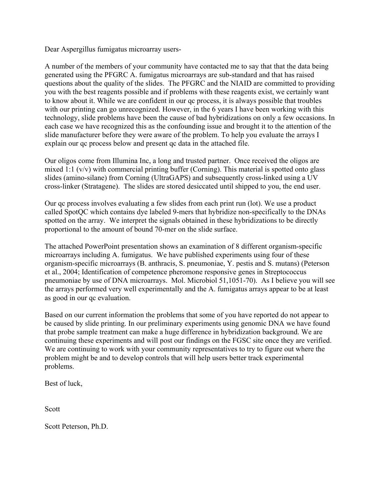Dear Aspergillus fumigatus microarray users-

A number of the members of your community have contacted me to say that that the data being generated using the PFGRC A. fumigatus microarrays are sub-standard and that has raised questions about the quality of the slides. The PFGRC and the NIAID are committed to providing you with the best reagents possible and if problems with these reagents exist, we certainly want to know about it. While we are confident in our qc process, it is always possible that troubles with our printing can go unrecognized. However, in the 6 years I have been working with this technology, slide problems have been the cause of bad hybridizations on only a few occasions. In each case we have recognized this as the confounding issue and brought it to the attention of the slide manufacturer before they were aware of the problem. To help you evaluate the arrays I explain our qc process below and present qc data in the attached file.

Our oligos come from Illumina Inc, a long and trusted partner. Once received the oligos are mixed 1:1  $(v/v)$  with commercial printing buffer (Corning). This material is spotted onto glass slides (amino-silane) from Corning (UltraGAPS) and subsequently cross-linked using a UV cross-linker (Stratagene). The slides are stored desiccated until shipped to you, the end user.

Our qc process involves evaluating a few slides from each print run (lot). We use a product called SpotQC which contains dye labeled 9-mers that hybridize non-specifically to the DNAs spotted on the array. We interpret the signals obtained in these hybridizations to be directly proportional to the amount of bound 70-mer on the slide surface.

The attached PowerPoint presentation shows an examination of 8 different organism-specific microarrays including A. fumigatus. We have published experiments using four of these organism-specific microarrays (B. anthracis, S. pneumoniae, Y. pestis and S. mutans) (Peterson et al., 2004; Identification of competence pheromone responsive genes in Streptococcus pneumoniae by use of DNA microarrays. Mol. Microbiol 51,1051-70). As I believe you will see the arrays performed very well experimentally and the A. fumigatus arrays appear to be at least as good in our qc evaluation.

Based on our current information the problems that some of you have reported do not appear to be caused by slide printing. In our preliminary experiments using genomic DNA we have found that probe sample treatment can make a huge difference in hybridization background. We are continuing these experiments and will post our findings on the FGSC site once they are verified. We are continuing to work with your community representatives to try to figure out where the problem might be and to develop controls that will help users better track experimental problems.

Best of luck,

Scott

Scott Peterson, Ph.D.